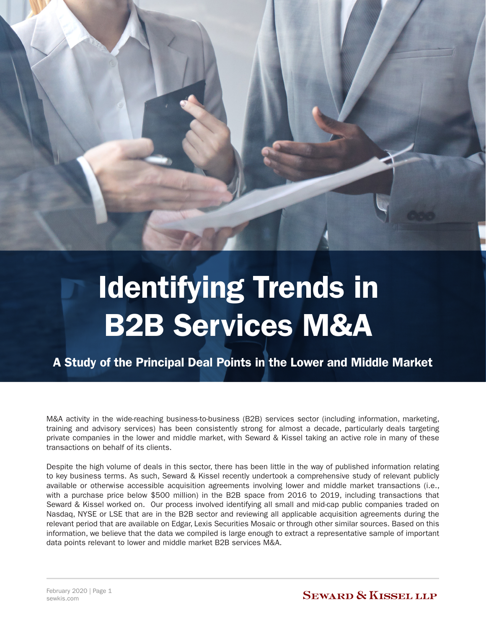

# Identifying Trends in B2B Services M&A

A Study of the Principal Deal Points in the Lower and Middle Market

M&A activity in the wide-reaching business-to-business (B2B) services sector (including information, marketing, training and advisory services) has been consistently strong for almost a decade, particularly deals targeting private companies in the lower and middle market, with Seward & Kissel taking an active role in many of these transactions on behalf of its clients.

Despite the high volume of deals in this sector, there has been little in the way of published information relating to key business terms. As such, Seward & Kissel recently undertook a comprehensive study of relevant publicly available or otherwise accessible acquisition agreements involving lower and middle market transactions (i.e., with a purchase price below \$500 million) in the B2B space from 2016 to 2019, including transactions that Seward & Kissel worked on. Our process involved identifying all small and mid-cap public companies traded on Nasdaq, NYSE or LSE that are in the B2B sector and reviewing all applicable acquisition agreements during the relevant period that are available on Edgar, Lexis Securities Mosaic or through other similar sources. Based on this information, we believe that the data we compiled is large enough to extract a representative sample of important data points relevant to lower and middle market B2B services M&A.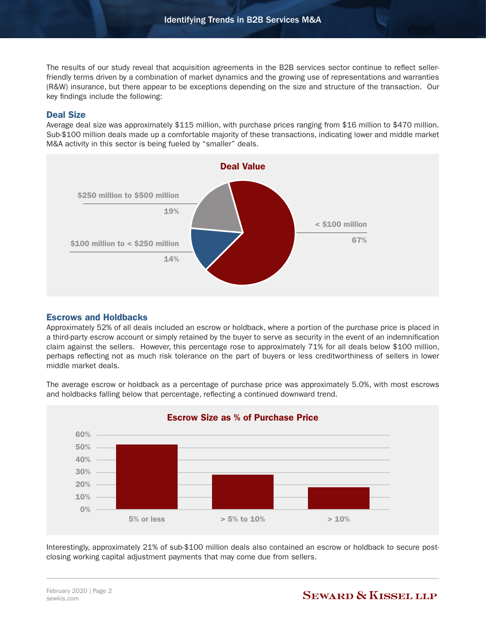The results of our study reveal that acquisition agreements in the B2B services sector continue to reflect sellerfriendly terms driven by a combination of market dynamics and the growing use of representations and warranties (R&W) insurance, but there appear to be exceptions depending on the size and structure of the transaction. Our key findings include the following:

### Deal Size

Average deal size was approximately \$115 million, with purchase prices ranging from \$16 million to \$470 million. Sub-\$100 million deals made up a comfortable majority of these transactions, indicating lower and middle market M&A activity in this sector is being fueled by "smaller" deals.



## Escrows and Holdbacks

Approximately 52% of all deals included an escrow or holdback, where a portion of the purchase price is placed in a third-party escrow account or simply retained by the buyer to serve as security in the event of an indemnification claim against the sellers. However, this percentage rose to approximately 71% for all deals below \$100 million, perhaps reflecting not as much risk tolerance on the part of buyers or less creditworthiness of sellers in lower middle market deals.

The average escrow or holdback as a percentage of purchase price was approximately 5.0%, with most escrows and holdbacks falling below that percentage, reflecting a continued downward trend.



Interestingly, approximately 21% of sub-\$100 million deals also contained an escrow or holdback to secure postclosing working capital adjustment payments that may come due from sellers.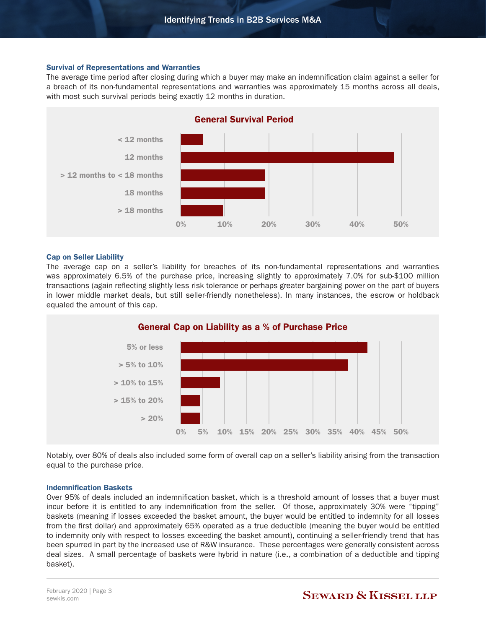#### Survival of Representations and Warranties

The average time period after closing during which a buyer may make an indemnification claim against a seller for a breach of its non-fundamental representations and warranties was approximately 15 months across all deals, with most such survival periods being exactly 12 months in duration.



#### Cap on Seller Liability

The average cap on a seller's liability for breaches of its non-fundamental representations and warranties was approximately 6.5% of the purchase price, increasing slightly to approximately 7.0% for sub-\$100 million transactions (again reflecting slightly less risk tolerance or perhaps greater bargaining power on the part of buyers in lower middle market deals, but still seller-friendly nonetheless). In many instances, the escrow or holdback equaled the amount of this cap.



Notably, over 80% of deals also included some form of overall cap on a seller's liability arising from the transaction equal to the purchase price.

#### Indemnification Baskets

Over 95% of deals included an indemnification basket, which is a threshold amount of losses that a buyer must incur before it is entitled to any indemnification from the seller. Of those, approximately 30% were "tipping" baskets (meaning if losses exceeded the basket amount, the buyer would be entitled to indemnity for all losses from the first dollar) and approximately 65% operated as a true deductible (meaning the buyer would be entitled to indemnity only with respect to losses exceeding the basket amount), continuing a seller-friendly trend that has been spurred in part by the increased use of R&W insurance. These percentages were generally consistent across deal sizes. A small percentage of baskets were hybrid in nature (i.e., a combination of a deductible and tipping basket).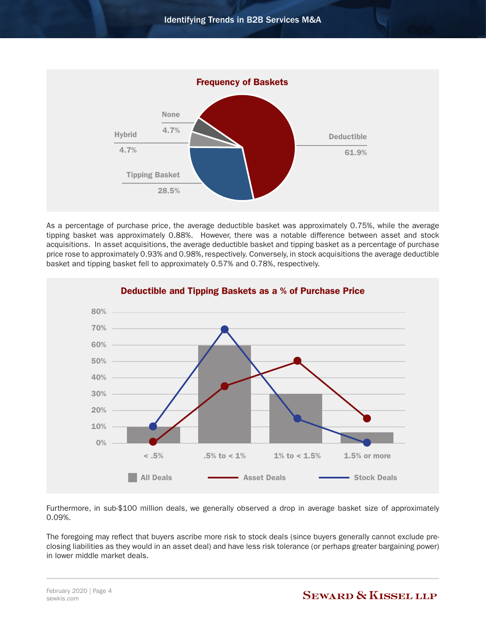

As a percentage of purchase price, the average deductible basket was approximately 0.75%, while the average tipping basket was approximately 0.88%. However, there was a notable difference between asset and stock acquisitions. In asset acquisitions, the average deductible basket and tipping basket as a percentage of purchase price rose to approximately 0.93% and 0.98%, respectively. Conversely, in stock acquisitions the average deductible basket and tipping basket fell to approximately 0.57% and 0.78%, respectively.



Furthermore, in sub-\$100 million deals, we generally observed a drop in average basket size of approximately 0.09%.

The foregoing may reflect that buyers ascribe more risk to stock deals (since buyers generally cannot exclude preclosing liabilities as they would in an asset deal) and have less risk tolerance (or perhaps greater bargaining power) in lower middle market deals.